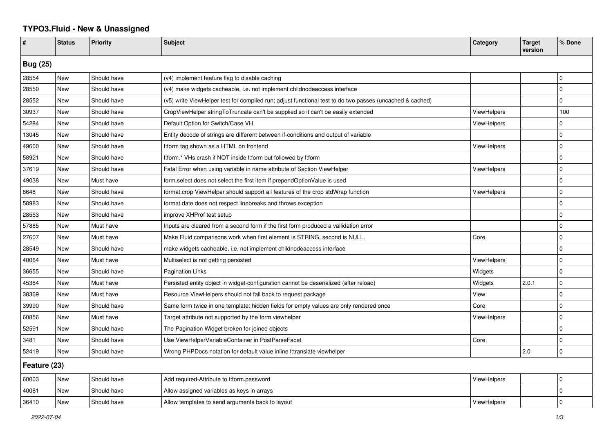## **TYPO3.Fluid - New & Unassigned**

| #               | <b>Status</b> | <b>Priority</b> | <b>Subject</b>                                                                                           | Category           | <b>Target</b><br>version | % Done      |  |  |
|-----------------|---------------|-----------------|----------------------------------------------------------------------------------------------------------|--------------------|--------------------------|-------------|--|--|
| <b>Bug (25)</b> |               |                 |                                                                                                          |                    |                          |             |  |  |
| 28554           | New           | Should have     | (v4) implement feature flag to disable caching                                                           |                    |                          | $\mathbf 0$ |  |  |
| 28550           | New           | Should have     | (v4) make widgets cacheable, i.e. not implement childnodeaccess interface                                |                    |                          | 0           |  |  |
| 28552           | New           | Should have     | (v5) write ViewHelper test for compiled run; adjust functional test to do two passes (uncached & cached) |                    |                          | $\Omega$    |  |  |
| 30937           | New           | Should have     | CropViewHelper stringToTruncate can't be supplied so it can't be easily extended                         | <b>ViewHelpers</b> |                          | 100         |  |  |
| 54284           | New           | Should have     | Default Option for Switch/Case VH                                                                        | <b>ViewHelpers</b> |                          | 0           |  |  |
| 13045           | New           | Should have     | Entity decode of strings are different between if-conditions and output of variable                      |                    |                          | $\mathbf 0$ |  |  |
| 49600           | New           | Should have     | f:form tag shown as a HTML on frontend                                                                   | <b>ViewHelpers</b> |                          | 0           |  |  |
| 58921           | New           | Should have     | f:form.* VHs crash if NOT inside f:form but followed by f:form                                           |                    |                          | $\Omega$    |  |  |
| 37619           | New           | Should have     | Fatal Error when using variable in name attribute of Section ViewHelper                                  | <b>ViewHelpers</b> |                          | 0           |  |  |
| 49038           | New           | Must have       | form select does not select the first item if prependOptionValue is used                                 |                    |                          | 0           |  |  |
| 8648            | New           | Should have     | format.crop ViewHelper should support all features of the crop stdWrap function                          | <b>ViewHelpers</b> |                          | $\mathbf 0$ |  |  |
| 58983           | New           | Should have     | format.date does not respect linebreaks and throws exception                                             |                    |                          | 0           |  |  |
| 28553           | New           | Should have     | improve XHProf test setup                                                                                |                    |                          | $\Omega$    |  |  |
| 57885           | New           | Must have       | Inputs are cleared from a second form if the first form produced a vallidation error                     |                    |                          | O           |  |  |
| 27607           | New           | Must have       | Make Fluid comparisons work when first element is STRING, second is NULL.                                | Core               |                          | $\mathbf 0$ |  |  |
| 28549           | <b>New</b>    | Should have     | make widgets cacheable, i.e. not implement childnodeaccess interface                                     |                    |                          | 0           |  |  |
| 40064           | New           | Must have       | Multiselect is not getting persisted                                                                     | <b>ViewHelpers</b> |                          | 0           |  |  |
| 36655           | New           | Should have     | Pagination Links                                                                                         | Widgets            |                          | $\Omega$    |  |  |
| 45384           | New           | Must have       | Persisted entity object in widget-configuration cannot be deserialized (after reload)                    | Widgets            | 2.0.1                    | 0           |  |  |
| 38369           | New           | Must have       | Resource ViewHelpers should not fall back to request package                                             | View               |                          | 0           |  |  |
| 39990           | New           | Should have     | Same form twice in one template: hidden fields for empty values are only rendered once                   | Core               |                          | $\mathbf 0$ |  |  |
| 60856           | New           | Must have       | Target attribute not supported by the form viewhelper                                                    | <b>ViewHelpers</b> |                          | 0           |  |  |
| 52591           | New           | Should have     | The Pagination Widget broken for joined objects                                                          |                    |                          | 0           |  |  |
| 3481            | New           | Should have     | Use ViewHelperVariableContainer in PostParseFacet                                                        | Core               |                          | O           |  |  |
| 52419           | New           | Should have     | Wrong PHPDocs notation for default value inline f:translate viewhelper                                   |                    | 2.0                      | 0           |  |  |
| Feature (23)    |               |                 |                                                                                                          |                    |                          |             |  |  |
| 60003           | New           | Should have     | Add required-Attribute to f:form.password                                                                | <b>ViewHelpers</b> |                          | $\Omega$    |  |  |
| 40081           | New           | Should have     | Allow assigned variables as keys in arrays                                                               |                    |                          | 0           |  |  |
| 36410           | New           | Should have     | Allow templates to send arguments back to layout                                                         | <b>ViewHelpers</b> |                          | $\mathbf 0$ |  |  |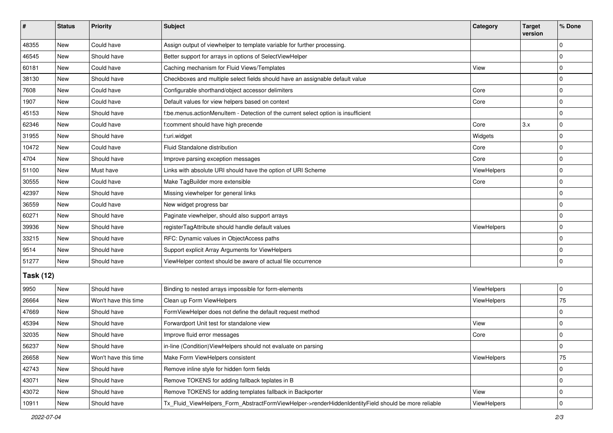| ∦                | <b>Status</b> | Priority             | <b>Subject</b>                                                                                      | Category    | <b>Target</b><br>version | % Done      |  |  |
|------------------|---------------|----------------------|-----------------------------------------------------------------------------------------------------|-------------|--------------------------|-------------|--|--|
| 48355            | New           | Could have           | Assign output of viewhelper to template variable for further processing.                            |             |                          | 0           |  |  |
| 46545            | <b>New</b>    | Should have          | Better support for arrays in options of SelectViewHelper                                            |             |                          | $\mathbf 0$ |  |  |
| 60181            | New           | Could have           | Caching mechanism for Fluid Views/Templates                                                         | View        |                          | 0           |  |  |
| 38130            | <b>New</b>    | Should have          | Checkboxes and multiple select fields should have an assignable default value                       |             |                          | $\Omega$    |  |  |
| 7608             | <b>New</b>    | Could have           | Configurable shorthand/object accessor delimiters                                                   | Core        |                          | 0           |  |  |
| 1907             | New           | Could have           | Default values for view helpers based on context                                                    | Core        |                          | 0           |  |  |
| 45153            | <b>New</b>    | Should have          | f:be.menus.actionMenuItem - Detection of the current select option is insufficient                  |             |                          | $\mathbf 0$ |  |  |
| 62346            | <b>New</b>    | Could have           | f:comment should have high precende                                                                 | Core        | 3.x                      | $\Omega$    |  |  |
| 31955            | New           | Should have          | f:uri.widget                                                                                        | Widgets     |                          | $\Omega$    |  |  |
| 10472            | <b>New</b>    | Could have           | Fluid Standalone distribution                                                                       | Core        |                          | 0           |  |  |
| 4704             | <b>New</b>    | Should have          | Improve parsing exception messages                                                                  | Core        |                          | $\Omega$    |  |  |
| 51100            | <b>New</b>    | Must have            | Links with absolute URI should have the option of URI Scheme                                        | ViewHelpers |                          | $\mathbf 0$ |  |  |
| 30555            | New           | Could have           | Make TagBuilder more extensible                                                                     | Core        |                          | $\Omega$    |  |  |
| 42397            | New           | Should have          | Missing viewhelper for general links                                                                |             |                          | $\Omega$    |  |  |
| 36559            | <b>New</b>    | Could have           | New widget progress bar                                                                             |             |                          | $\Omega$    |  |  |
| 60271            | New           | Should have          | Paginate viewhelper, should also support arrays                                                     |             |                          | $\Omega$    |  |  |
| 39936            | <b>New</b>    | Should have          | registerTagAttribute should handle default values                                                   | ViewHelpers |                          | 0           |  |  |
| 33215            | New           | Should have          | RFC: Dynamic values in ObjectAccess paths                                                           |             |                          | 0           |  |  |
| 9514             | New           | Should have          | Support explicit Array Arguments for ViewHelpers                                                    |             |                          | $\Omega$    |  |  |
| 51277            | <b>New</b>    | Should have          | ViewHelper context should be aware of actual file occurrence                                        |             |                          | 0           |  |  |
| <b>Task (12)</b> |               |                      |                                                                                                     |             |                          |             |  |  |
| 9950             | <b>New</b>    | Should have          | Binding to nested arrays impossible for form-elements                                               | ViewHelpers |                          | 0           |  |  |
| 26664            | <b>New</b>    | Won't have this time | Clean up Form ViewHelpers                                                                           | ViewHelpers |                          | 75          |  |  |
| 47669            | <b>New</b>    | Should have          | FormViewHelper does not define the default request method                                           |             |                          | 0           |  |  |
| 45394            | <b>New</b>    | Should have          | Forwardport Unit test for standalone view                                                           | View        |                          | $\Omega$    |  |  |
| 32035            | New           | Should have          | Improve fluid error messages                                                                        | Core        |                          | 0           |  |  |
| 56237            | New           | Should have          | in-line (Condition)ViewHelpers should not evaluate on parsing                                       |             |                          | U           |  |  |
| 26658            | <b>New</b>    | Won't have this time | Make Form ViewHelpers consistent                                                                    | ViewHelpers |                          | 75          |  |  |
| 42743            | New           | Should have          | Remove inline style for hidden form fields                                                          |             |                          | 0           |  |  |
| 43071            | New           | Should have          | Remove TOKENS for adding fallback teplates in B                                                     |             |                          | $\Omega$    |  |  |
| 43072            | New           | Should have          | Remove TOKENS for adding templates fallback in Backporter                                           | View        |                          | 0           |  |  |
| 10911            | New           | Should have          | Tx_Fluid_ViewHelpers_Form_AbstractFormViewHelper->renderHiddenIdentityField should be more reliable | ViewHelpers |                          | 0           |  |  |